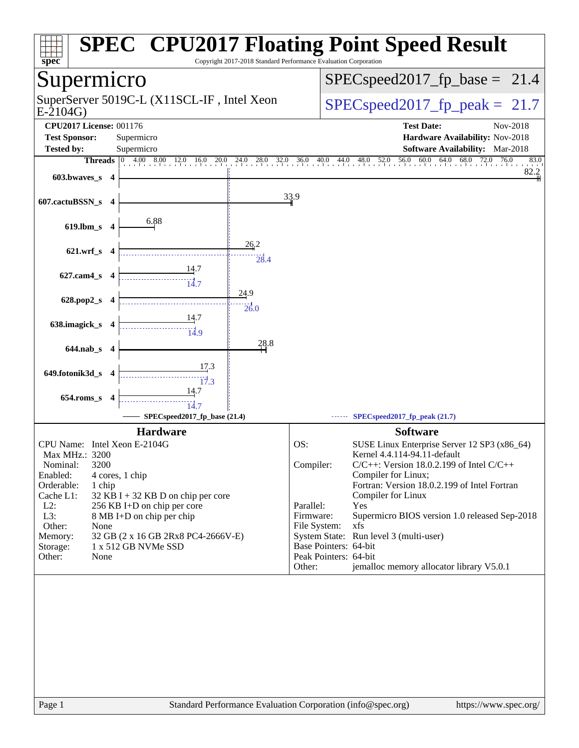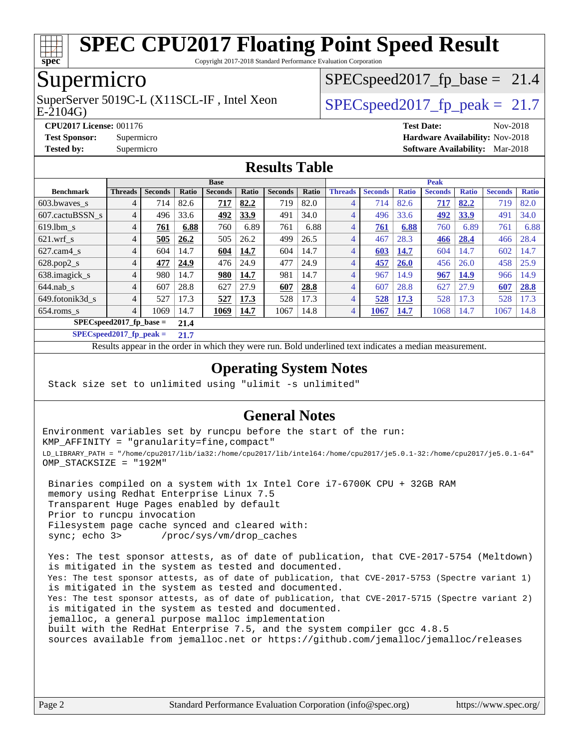

Copyright 2017-2018 Standard Performance Evaluation Corporation

## Supermicro

E-2104G) SuperServer 5019C-L (X11SCL-IF, Intel Xeon  $SPEC speed2017$  fp\_peak = 21.7

 $SPECspeed2017_fp\_base = 21.4$ 

**[CPU2017 License:](http://www.spec.org/auto/cpu2017/Docs/result-fields.html#CPU2017License)** 001176 **[Test Date:](http://www.spec.org/auto/cpu2017/Docs/result-fields.html#TestDate)** Nov-2018 **[Test Sponsor:](http://www.spec.org/auto/cpu2017/Docs/result-fields.html#TestSponsor)** Supermicro **[Hardware Availability:](http://www.spec.org/auto/cpu2017/Docs/result-fields.html#HardwareAvailability)** Nov-2018 **[Tested by:](http://www.spec.org/auto/cpu2017/Docs/result-fields.html#Testedby)** Supermicro **[Software Availability:](http://www.spec.org/auto/cpu2017/Docs/result-fields.html#SoftwareAvailability)** Mar-2018

#### **[Results Table](http://www.spec.org/auto/cpu2017/Docs/result-fields.html#ResultsTable)**

|                            | <b>Base</b>    |                |       |                |             |                |       | <b>Peak</b>    |                |              |                |              |                |              |
|----------------------------|----------------|----------------|-------|----------------|-------------|----------------|-------|----------------|----------------|--------------|----------------|--------------|----------------|--------------|
| <b>Benchmark</b>           | <b>Threads</b> | <b>Seconds</b> | Ratio | <b>Seconds</b> | Ratio       | <b>Seconds</b> | Ratio | <b>Threads</b> | <b>Seconds</b> | <b>Ratio</b> | <b>Seconds</b> | <b>Ratio</b> | <b>Seconds</b> | <b>Ratio</b> |
| 603.bwaves_s               | 4              | 714            | 82.6  | 717            | 82.2        | 719            | 82.0  | 4              | 714            | 82.6         | 717            | 82.2         | 719            | 82.0         |
| 607.cactuBSSN s            | 4              | 496            | 33.6  | 492            | <b>33.9</b> | 491            | 34.0  | 4              | 496            | 33.6         | 492            | 33.9         | 491            | 34.0         |
| $619.1$ bm s               | 4              | 761            | 6.88  | 760            | 6.89        | 761            | 6.88  | 4              | 761            | 6.88         | 760            | 6.89         | 761            | 6.88         |
| $621$ .wrf s               | 4              | 505            | 26.2  | 505            | 26.2        | 499            | 26.5  | 4              | 467            | 28.3         | 466            | 28.4         | 466            | 28.4         |
| $627$ .cam $4$ s           | 4              | 604            | 14.7  | 604            | 14.7        | 604            | 14.7  | 4              | 603            | 14.7         | 604            | 14.7         | 602            | 14.7         |
| $628.pop2_s$               | 4              | 477            | 24.9  | 476            | 24.9        | 477            | 24.9  | 4              | 457            | 26.0         | 456            | 26.0         | 458            | 25.9         |
| 638.imagick_s              | $\overline{4}$ | 980            | 14.7  | 980            | 14.7        | 981            | 14.7  | 4              | 967            | 14.9         | 967            | 14.9         | 966            | 14.9         |
| $644$ .nab s               | 4              | 607            | 28.8  | 627            | 27.9        | 607            | 28.8  | 4              | 607            | 28.8         | 627            | 27.9         | 607            | 28.8         |
| 649.fotonik3d_s            | 4              | 527            | 17.3  | 527            | 17.3        | 528            | 17.3  | 4              | 528            | 17.3         | 528            | 17.3         | 528            | 17.3         |
| $654$ .roms s              | 4              | 1069           | 14.7  | 1069           | 14.7        | 1067           | 14.8  | 4              | 1067           | <b>14.7</b>  | 1068           | 14.7         | 1067           | 14.8         |
| $SPEC speed2017$ fp base = | 21.4           |                |       |                |             |                |       |                |                |              |                |              |                |              |

**[SPECspeed2017\\_fp\\_peak =](http://www.spec.org/auto/cpu2017/Docs/result-fields.html#SPECspeed2017fppeak) 21.7**

Results appear in the [order in which they were run.](http://www.spec.org/auto/cpu2017/Docs/result-fields.html#RunOrder) Bold underlined text [indicates a median measurement](http://www.spec.org/auto/cpu2017/Docs/result-fields.html#Median).

#### **[Operating System Notes](http://www.spec.org/auto/cpu2017/Docs/result-fields.html#OperatingSystemNotes)**

Stack size set to unlimited using "ulimit -s unlimited"

#### **[General Notes](http://www.spec.org/auto/cpu2017/Docs/result-fields.html#GeneralNotes)**

Environment variables set by runcpu before the start of the run: KMP\_AFFINITY = "granularity=fine,compact" LD\_LIBRARY\_PATH = "/home/cpu2017/lib/ia32:/home/cpu2017/lib/intel64:/home/cpu2017/je5.0.1-32:/home/cpu2017/je5.0.1-64" OMP\_STACKSIZE = "192M"

 Binaries compiled on a system with 1x Intel Core i7-6700K CPU + 32GB RAM memory using Redhat Enterprise Linux 7.5 Transparent Huge Pages enabled by default Prior to runcpu invocation Filesystem page cache synced and cleared with: sync; echo 3> /proc/sys/vm/drop\_caches

 Yes: The test sponsor attests, as of date of publication, that CVE-2017-5754 (Meltdown) is mitigated in the system as tested and documented. Yes: The test sponsor attests, as of date of publication, that CVE-2017-5753 (Spectre variant 1) is mitigated in the system as tested and documented. Yes: The test sponsor attests, as of date of publication, that CVE-2017-5715 (Spectre variant 2) is mitigated in the system as tested and documented. jemalloc, a general purpose malloc implementation built with the RedHat Enterprise 7.5, and the system compiler gcc 4.8.5 sources available from jemalloc.net or <https://github.com/jemalloc/jemalloc/releases>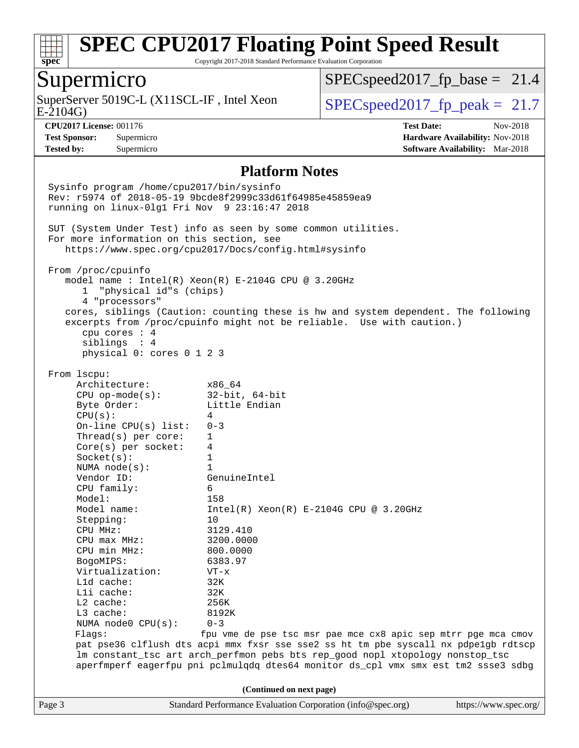

Copyright 2017-2018 Standard Performance Evaluation Corporation

## Supermicro

E-2104G) SuperServer 5019C-L (X11SCL-IF, Intel Xeon  $SPEC speed2017_fp\_peak = 21.7$ 

 $SPECspeed2017_fp\_base = 21.4$ 

**[Tested by:](http://www.spec.org/auto/cpu2017/Docs/result-fields.html#Testedby)** Supermicro **[Software Availability:](http://www.spec.org/auto/cpu2017/Docs/result-fields.html#SoftwareAvailability)** Mar-2018

**[CPU2017 License:](http://www.spec.org/auto/cpu2017/Docs/result-fields.html#CPU2017License)** 001176 **[Test Date:](http://www.spec.org/auto/cpu2017/Docs/result-fields.html#TestDate)** Nov-2018 **[Test Sponsor:](http://www.spec.org/auto/cpu2017/Docs/result-fields.html#TestSponsor)** Supermicro **[Hardware Availability:](http://www.spec.org/auto/cpu2017/Docs/result-fields.html#HardwareAvailability)** Nov-2018

#### **[Platform Notes](http://www.spec.org/auto/cpu2017/Docs/result-fields.html#PlatformNotes)**

Page 3 Standard Performance Evaluation Corporation [\(info@spec.org\)](mailto:info@spec.org) <https://www.spec.org/> Sysinfo program /home/cpu2017/bin/sysinfo Rev: r5974 of 2018-05-19 9bcde8f2999c33d61f64985e45859ea9 running on linux-0lg1 Fri Nov 9 23:16:47 2018 SUT (System Under Test) info as seen by some common utilities. For more information on this section, see <https://www.spec.org/cpu2017/Docs/config.html#sysinfo> From /proc/cpuinfo model name : Intel(R) Xeon(R) E-2104G CPU @ 3.20GHz 1 "physical id"s (chips) 4 "processors" cores, siblings (Caution: counting these is hw and system dependent. The following excerpts from /proc/cpuinfo might not be reliable. Use with caution.) cpu cores : 4 siblings : 4 physical 0: cores 0 1 2 3 From lscpu: Architecture: x86\_64 CPU op-mode(s): 32-bit, 64-bit Byte Order: Little Endian  $CPU(s):$  4 On-line CPU(s) list: 0-3 Thread(s) per core: 1 Core(s) per socket: 4 Socket(s): 1 NUMA node(s): 1 Vendor ID: GenuineIntel CPU family: 6 Model: 158<br>Model name: 1158  $Intel(R)$  Xeon(R) E-2104G CPU @ 3.20GHz Stepping: 10 CPU MHz: 3129.410 CPU max MHz: 3200.0000 CPU min MHz: 800.0000 BogoMIPS: 6383.97 Virtualization: VT-x L1d cache: 32K L1i cache: 32K L2 cache: 256K L3 cache: 8192K NUMA node0 CPU(s): 0-3 Flags: fpu vme de pse tsc msr pae mce cx8 apic sep mtrr pge mca cmov pat pse36 clflush dts acpi mmx fxsr sse sse2 ss ht tm pbe syscall nx pdpe1gb rdtscp lm constant\_tsc art arch\_perfmon pebs bts rep\_good nopl xtopology nonstop\_tsc aperfmperf eagerfpu pni pclmulqdq dtes64 monitor ds\_cpl vmx smx est tm2 ssse3 sdbg **(Continued on next page)**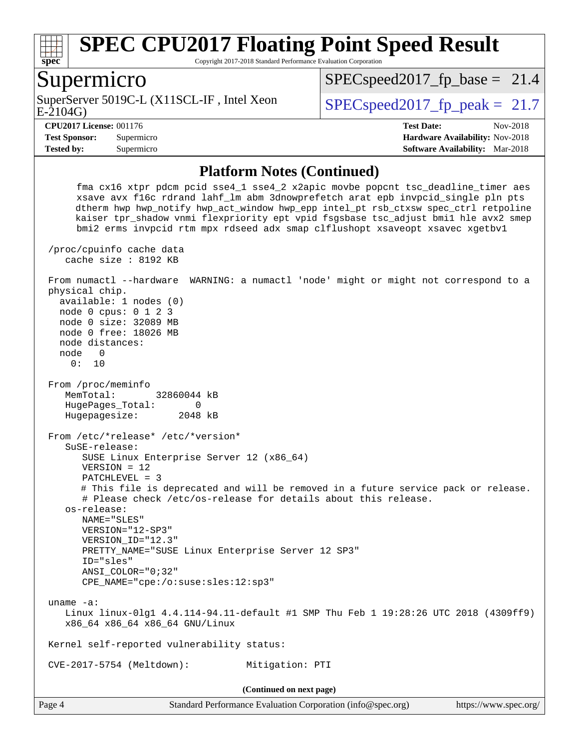

Copyright 2017-2018 Standard Performance Evaluation Corporation

#### Supermicro

E-2104G) SuperServer 5019C-L (X11SCL-IF, Intel Xeon  $SPEC speed2017$  fp\_peak = 21.7

 $SPECspeed2017_fp\_base = 21.4$ 

**[Tested by:](http://www.spec.org/auto/cpu2017/Docs/result-fields.html#Testedby)** Supermicro **[Software Availability:](http://www.spec.org/auto/cpu2017/Docs/result-fields.html#SoftwareAvailability)** Mar-2018

**[CPU2017 License:](http://www.spec.org/auto/cpu2017/Docs/result-fields.html#CPU2017License)** 001176 **[Test Date:](http://www.spec.org/auto/cpu2017/Docs/result-fields.html#TestDate)** Nov-2018 **[Test Sponsor:](http://www.spec.org/auto/cpu2017/Docs/result-fields.html#TestSponsor)** Supermicro **[Hardware Availability:](http://www.spec.org/auto/cpu2017/Docs/result-fields.html#HardwareAvailability)** Nov-2018

#### **[Platform Notes \(Continued\)](http://www.spec.org/auto/cpu2017/Docs/result-fields.html#PlatformNotes)**

 fma cx16 xtpr pdcm pcid sse4\_1 sse4\_2 x2apic movbe popcnt tsc\_deadline\_timer aes xsave avx f16c rdrand lahf\_lm abm 3dnowprefetch arat epb invpcid\_single pln pts dtherm hwp hwp\_notify hwp\_act\_window hwp\_epp intel\_pt rsb\_ctxsw spec\_ctrl retpoline kaiser tpr\_shadow vnmi flexpriority ept vpid fsgsbase tsc\_adjust bmi1 hle avx2 smep bmi2 erms invpcid rtm mpx rdseed adx smap clflushopt xsaveopt xsavec xgetbv1 /proc/cpuinfo cache data cache size : 8192 KB From numactl --hardware WARNING: a numactl 'node' might or might not correspond to a physical chip. available: 1 nodes (0) node 0 cpus: 0 1 2 3 node 0 size: 32089 MB node 0 free: 18026 MB node distances: node 0 0: 10 From /proc/meminfo MemTotal: 32860044 kB HugePages\_Total: 0 Hugepagesize: 2048 kB From /etc/\*release\* /etc/\*version\* SuSE-release: SUSE Linux Enterprise Server 12 (x86\_64) VERSION = 12 PATCHLEVEL = 3 # This file is deprecated and will be removed in a future service pack or release. # Please check /etc/os-release for details about this release. os-release: NAME="SLES" VERSION="12-SP3" VERSION\_ID="12.3" PRETTY\_NAME="SUSE Linux Enterprise Server 12 SP3" ID="sles" ANSI\_COLOR="0;32" CPE\_NAME="cpe:/o:suse:sles:12:sp3" uname -a: Linux linux-0lg1 4.4.114-94.11-default #1 SMP Thu Feb 1 19:28:26 UTC 2018 (4309ff9) x86\_64 x86\_64 x86\_64 GNU/Linux Kernel self-reported vulnerability status: CVE-2017-5754 (Meltdown): Mitigation: PTI **(Continued on next page)**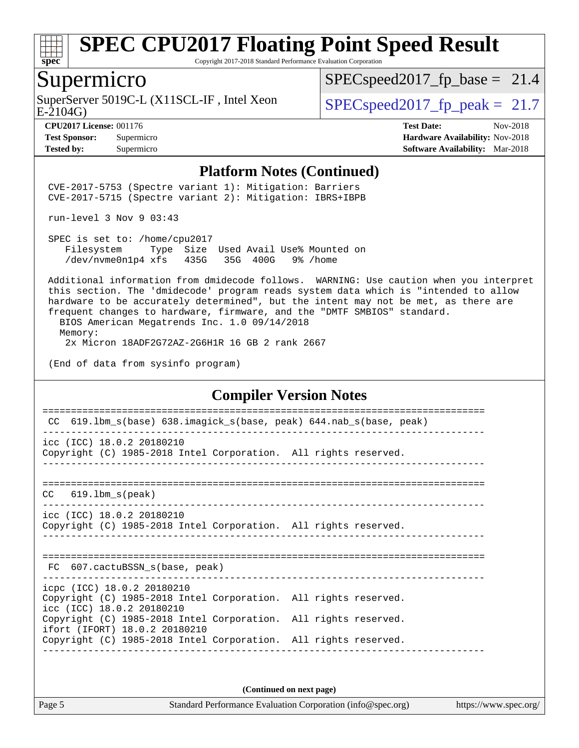

Copyright 2017-2018 Standard Performance Evaluation Corporation

#### Supermicro

E-2104G) SuperServer 5019C-L (X11SCL-IF, Intel Xeon  $SPEC speed2017_fp\_peak = 21.7$ 

 $SPECspeed2017_fp\_base = 21.4$ 

**[CPU2017 License:](http://www.spec.org/auto/cpu2017/Docs/result-fields.html#CPU2017License)** 001176 **[Test Date:](http://www.spec.org/auto/cpu2017/Docs/result-fields.html#TestDate)** Nov-2018 **[Test Sponsor:](http://www.spec.org/auto/cpu2017/Docs/result-fields.html#TestSponsor)** Supermicro **[Hardware Availability:](http://www.spec.org/auto/cpu2017/Docs/result-fields.html#HardwareAvailability)** Nov-2018 **[Tested by:](http://www.spec.org/auto/cpu2017/Docs/result-fields.html#Testedby)** Supermicro **[Software Availability:](http://www.spec.org/auto/cpu2017/Docs/result-fields.html#SoftwareAvailability)** Mar-2018

#### **[Platform Notes \(Continued\)](http://www.spec.org/auto/cpu2017/Docs/result-fields.html#PlatformNotes)**

 CVE-2017-5753 (Spectre variant 1): Mitigation: Barriers CVE-2017-5715 (Spectre variant 2): Mitigation: IBRS+IBPB

run-level 3 Nov 9 03:43

 SPEC is set to: /home/cpu2017 Filesystem Type Size Used Avail Use% Mounted on /dev/nvme0n1p4 xfs 435G 35G 400G 9% /home

 Additional information from dmidecode follows. WARNING: Use caution when you interpret this section. The 'dmidecode' program reads system data which is "intended to allow hardware to be accurately determined", but the intent may not be met, as there are frequent changes to hardware, firmware, and the "DMTF SMBIOS" standard.

 BIOS American Megatrends Inc. 1.0 09/14/2018 Memory: 2x Micron 18ADF2G72AZ-2G6H1R 16 GB 2 rank 2667

(End of data from sysinfo program)

#### **[Compiler Version Notes](http://www.spec.org/auto/cpu2017/Docs/result-fields.html#CompilerVersionNotes)**

| 619.1bm_s(base) 638.imagick_s(base, peak) 644.nab_s(base, peak)<br><b>CC</b>                                               |                                      |
|----------------------------------------------------------------------------------------------------------------------------|--------------------------------------|
| icc (ICC) 18.0.2 20180210<br>Copyright (C) 1985-2018 Intel Corporation. All rights reserved.                               | <u>Le de le de le de le de le</u> le |
| 619.1bm s(peak)<br>CC.                                                                                                     |                                      |
| icc (ICC) 18.0.2 20180210<br>Copyright (C) 1985-2018 Intel Corporation. All rights reserved.                               |                                      |
| FC 607. cactuBSSN s(base, peak)                                                                                            |                                      |
| icpc (ICC) 18.0.2 20180210<br>Copyright (C) 1985-2018 Intel Corporation. All rights reserved.<br>icc (ICC) 18.0.2 20180210 |                                      |
| Copyright (C) 1985-2018 Intel Corporation. All rights reserved.<br>ifort (IFORT) 18.0.2 20180210                           |                                      |
| Copyright (C) 1985-2018 Intel Corporation. All rights reserved.                                                            |                                      |
|                                                                                                                            |                                      |

**(Continued on next page)**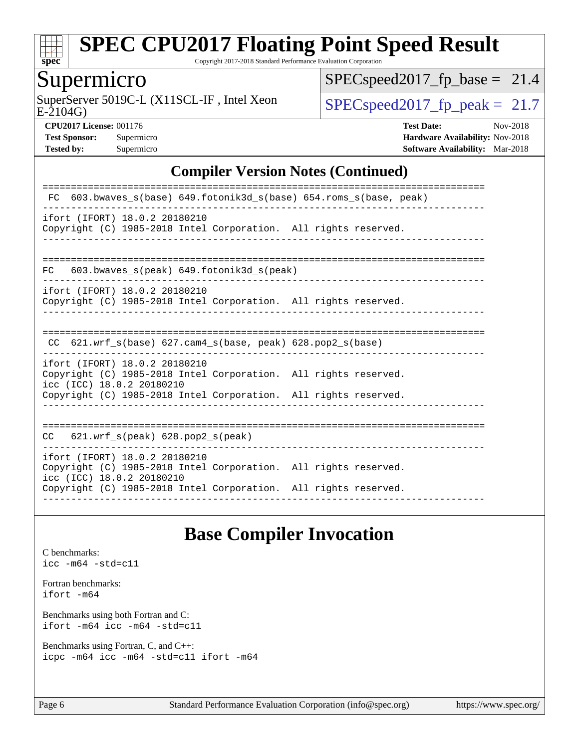

Copyright 2017-2018 Standard Performance Evaluation Corporation

## Supermicro

E-2104G) SuperServer 5019C-L (X11SCL-IF, Intel Xeon  $SPEC speed2017_f$  peak = 21.7

 $SPEC speed2017_fp\_base = 21.4$ 

**[CPU2017 License:](http://www.spec.org/auto/cpu2017/Docs/result-fields.html#CPU2017License)** 001176 **[Test Date:](http://www.spec.org/auto/cpu2017/Docs/result-fields.html#TestDate)** Nov-2018 **[Test Sponsor:](http://www.spec.org/auto/cpu2017/Docs/result-fields.html#TestSponsor)** Supermicro **[Hardware Availability:](http://www.spec.org/auto/cpu2017/Docs/result-fields.html#HardwareAvailability)** Nov-2018 **[Tested by:](http://www.spec.org/auto/cpu2017/Docs/result-fields.html#Testedby)** Supermicro **[Software Availability:](http://www.spec.org/auto/cpu2017/Docs/result-fields.html#SoftwareAvailability)** Mar-2018

#### **[Compiler Version Notes \(Continued\)](http://www.spec.org/auto/cpu2017/Docs/result-fields.html#CompilerVersionNotes)**

## **[Base Compiler Invocation](http://www.spec.org/auto/cpu2017/Docs/result-fields.html#BaseCompilerInvocation)**

[C benchmarks](http://www.spec.org/auto/cpu2017/Docs/result-fields.html#Cbenchmarks): [icc -m64 -std=c11](http://www.spec.org/cpu2017/results/res2018q4/cpu2017-20181112-09571.flags.html#user_CCbase_intel_icc_64bit_c11_33ee0cdaae7deeeab2a9725423ba97205ce30f63b9926c2519791662299b76a0318f32ddfffdc46587804de3178b4f9328c46fa7c2b0cd779d7a61945c91cd35)

[Fortran benchmarks](http://www.spec.org/auto/cpu2017/Docs/result-fields.html#Fortranbenchmarks): [ifort -m64](http://www.spec.org/cpu2017/results/res2018q4/cpu2017-20181112-09571.flags.html#user_FCbase_intel_ifort_64bit_24f2bb282fbaeffd6157abe4f878425411749daecae9a33200eee2bee2fe76f3b89351d69a8130dd5949958ce389cf37ff59a95e7a40d588e8d3a57e0c3fd751)

[Benchmarks using both Fortran and C](http://www.spec.org/auto/cpu2017/Docs/result-fields.html#BenchmarksusingbothFortranandC): [ifort -m64](http://www.spec.org/cpu2017/results/res2018q4/cpu2017-20181112-09571.flags.html#user_CC_FCbase_intel_ifort_64bit_24f2bb282fbaeffd6157abe4f878425411749daecae9a33200eee2bee2fe76f3b89351d69a8130dd5949958ce389cf37ff59a95e7a40d588e8d3a57e0c3fd751) [icc -m64 -std=c11](http://www.spec.org/cpu2017/results/res2018q4/cpu2017-20181112-09571.flags.html#user_CC_FCbase_intel_icc_64bit_c11_33ee0cdaae7deeeab2a9725423ba97205ce30f63b9926c2519791662299b76a0318f32ddfffdc46587804de3178b4f9328c46fa7c2b0cd779d7a61945c91cd35)

[Benchmarks using Fortran, C, and C++:](http://www.spec.org/auto/cpu2017/Docs/result-fields.html#BenchmarksusingFortranCandCXX) [icpc -m64](http://www.spec.org/cpu2017/results/res2018q4/cpu2017-20181112-09571.flags.html#user_CC_CXX_FCbase_intel_icpc_64bit_4ecb2543ae3f1412ef961e0650ca070fec7b7afdcd6ed48761b84423119d1bf6bdf5cad15b44d48e7256388bc77273b966e5eb805aefd121eb22e9299b2ec9d9) [icc -m64 -std=c11](http://www.spec.org/cpu2017/results/res2018q4/cpu2017-20181112-09571.flags.html#user_CC_CXX_FCbase_intel_icc_64bit_c11_33ee0cdaae7deeeab2a9725423ba97205ce30f63b9926c2519791662299b76a0318f32ddfffdc46587804de3178b4f9328c46fa7c2b0cd779d7a61945c91cd35) [ifort -m64](http://www.spec.org/cpu2017/results/res2018q4/cpu2017-20181112-09571.flags.html#user_CC_CXX_FCbase_intel_ifort_64bit_24f2bb282fbaeffd6157abe4f878425411749daecae9a33200eee2bee2fe76f3b89351d69a8130dd5949958ce389cf37ff59a95e7a40d588e8d3a57e0c3fd751)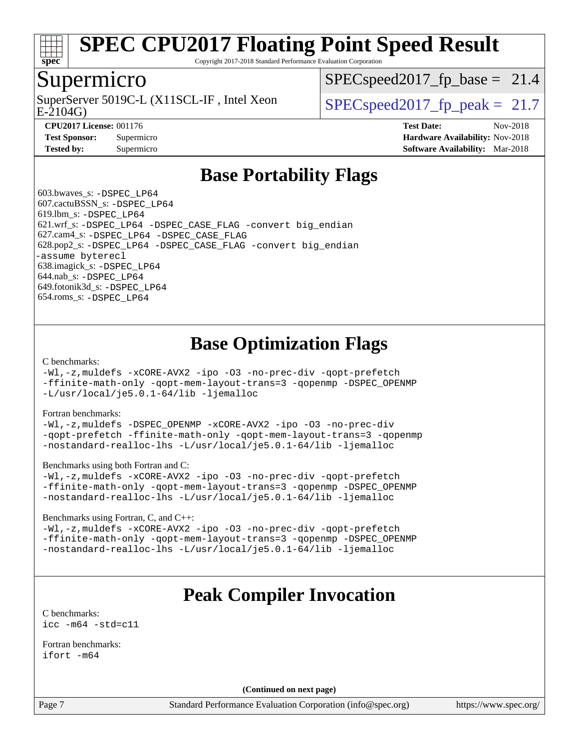

Copyright 2017-2018 Standard Performance Evaluation Corporation

### Supermicro

E-2104G) SuperServer 5019C-L (X11SCL-IF, Intel Xeon  $SPEC speed2017$  fp\_peak = 21.7

 $SPECspeed2017_fp\_base = 21.4$ 

**[CPU2017 License:](http://www.spec.org/auto/cpu2017/Docs/result-fields.html#CPU2017License)** 001176 **[Test Date:](http://www.spec.org/auto/cpu2017/Docs/result-fields.html#TestDate)** Nov-2018 **[Test Sponsor:](http://www.spec.org/auto/cpu2017/Docs/result-fields.html#TestSponsor)** Supermicro **[Hardware Availability:](http://www.spec.org/auto/cpu2017/Docs/result-fields.html#HardwareAvailability)** Nov-2018 **[Tested by:](http://www.spec.org/auto/cpu2017/Docs/result-fields.html#Testedby)** Supermicro **[Software Availability:](http://www.spec.org/auto/cpu2017/Docs/result-fields.html#SoftwareAvailability)** Mar-2018

## **[Base Portability Flags](http://www.spec.org/auto/cpu2017/Docs/result-fields.html#BasePortabilityFlags)**

 603.bwaves\_s: [-DSPEC\\_LP64](http://www.spec.org/cpu2017/results/res2018q4/cpu2017-20181112-09571.flags.html#suite_basePORTABILITY603_bwaves_s_DSPEC_LP64) 607.cactuBSSN\_s: [-DSPEC\\_LP64](http://www.spec.org/cpu2017/results/res2018q4/cpu2017-20181112-09571.flags.html#suite_basePORTABILITY607_cactuBSSN_s_DSPEC_LP64) 619.lbm\_s: [-DSPEC\\_LP64](http://www.spec.org/cpu2017/results/res2018q4/cpu2017-20181112-09571.flags.html#suite_basePORTABILITY619_lbm_s_DSPEC_LP64) 621.wrf\_s: [-DSPEC\\_LP64](http://www.spec.org/cpu2017/results/res2018q4/cpu2017-20181112-09571.flags.html#suite_basePORTABILITY621_wrf_s_DSPEC_LP64) [-DSPEC\\_CASE\\_FLAG](http://www.spec.org/cpu2017/results/res2018q4/cpu2017-20181112-09571.flags.html#b621.wrf_s_baseCPORTABILITY_DSPEC_CASE_FLAG) [-convert big\\_endian](http://www.spec.org/cpu2017/results/res2018q4/cpu2017-20181112-09571.flags.html#user_baseFPORTABILITY621_wrf_s_convert_big_endian_c3194028bc08c63ac5d04de18c48ce6d347e4e562e8892b8bdbdc0214820426deb8554edfa529a3fb25a586e65a3d812c835984020483e7e73212c4d31a38223) 627.cam4\_s: [-DSPEC\\_LP64](http://www.spec.org/cpu2017/results/res2018q4/cpu2017-20181112-09571.flags.html#suite_basePORTABILITY627_cam4_s_DSPEC_LP64) [-DSPEC\\_CASE\\_FLAG](http://www.spec.org/cpu2017/results/res2018q4/cpu2017-20181112-09571.flags.html#b627.cam4_s_baseCPORTABILITY_DSPEC_CASE_FLAG) 628.pop2\_s: [-DSPEC\\_LP64](http://www.spec.org/cpu2017/results/res2018q4/cpu2017-20181112-09571.flags.html#suite_basePORTABILITY628_pop2_s_DSPEC_LP64) [-DSPEC\\_CASE\\_FLAG](http://www.spec.org/cpu2017/results/res2018q4/cpu2017-20181112-09571.flags.html#b628.pop2_s_baseCPORTABILITY_DSPEC_CASE_FLAG) [-convert big\\_endian](http://www.spec.org/cpu2017/results/res2018q4/cpu2017-20181112-09571.flags.html#user_baseFPORTABILITY628_pop2_s_convert_big_endian_c3194028bc08c63ac5d04de18c48ce6d347e4e562e8892b8bdbdc0214820426deb8554edfa529a3fb25a586e65a3d812c835984020483e7e73212c4d31a38223) [-assume byterecl](http://www.spec.org/cpu2017/results/res2018q4/cpu2017-20181112-09571.flags.html#user_baseFPORTABILITY628_pop2_s_assume_byterecl_7e47d18b9513cf18525430bbf0f2177aa9bf368bc7a059c09b2c06a34b53bd3447c950d3f8d6c70e3faf3a05c8557d66a5798b567902e8849adc142926523472) 638.imagick\_s: [-DSPEC\\_LP64](http://www.spec.org/cpu2017/results/res2018q4/cpu2017-20181112-09571.flags.html#suite_basePORTABILITY638_imagick_s_DSPEC_LP64) 644.nab\_s: [-DSPEC\\_LP64](http://www.spec.org/cpu2017/results/res2018q4/cpu2017-20181112-09571.flags.html#suite_basePORTABILITY644_nab_s_DSPEC_LP64) 649.fotonik3d\_s: [-DSPEC\\_LP64](http://www.spec.org/cpu2017/results/res2018q4/cpu2017-20181112-09571.flags.html#suite_basePORTABILITY649_fotonik3d_s_DSPEC_LP64) 654.roms\_s: [-DSPEC\\_LP64](http://www.spec.org/cpu2017/results/res2018q4/cpu2017-20181112-09571.flags.html#suite_basePORTABILITY654_roms_s_DSPEC_LP64)

## **[Base Optimization Flags](http://www.spec.org/auto/cpu2017/Docs/result-fields.html#BaseOptimizationFlags)**

[C benchmarks](http://www.spec.org/auto/cpu2017/Docs/result-fields.html#Cbenchmarks):

[-Wl,-z,muldefs](http://www.spec.org/cpu2017/results/res2018q4/cpu2017-20181112-09571.flags.html#user_CCbase_link_force_multiple1_b4cbdb97b34bdee9ceefcfe54f4c8ea74255f0b02a4b23e853cdb0e18eb4525ac79b5a88067c842dd0ee6996c24547a27a4b99331201badda8798ef8a743f577) [-xCORE-AVX2](http://www.spec.org/cpu2017/results/res2018q4/cpu2017-20181112-09571.flags.html#user_CCbase_f-xCORE-AVX2) [-ipo](http://www.spec.org/cpu2017/results/res2018q4/cpu2017-20181112-09571.flags.html#user_CCbase_f-ipo) [-O3](http://www.spec.org/cpu2017/results/res2018q4/cpu2017-20181112-09571.flags.html#user_CCbase_f-O3) [-no-prec-div](http://www.spec.org/cpu2017/results/res2018q4/cpu2017-20181112-09571.flags.html#user_CCbase_f-no-prec-div) [-qopt-prefetch](http://www.spec.org/cpu2017/results/res2018q4/cpu2017-20181112-09571.flags.html#user_CCbase_f-qopt-prefetch) [-ffinite-math-only](http://www.spec.org/cpu2017/results/res2018q4/cpu2017-20181112-09571.flags.html#user_CCbase_f_finite_math_only_cb91587bd2077682c4b38af759c288ed7c732db004271a9512da14a4f8007909a5f1427ecbf1a0fb78ff2a814402c6114ac565ca162485bbcae155b5e4258871) [-qopt-mem-layout-trans=3](http://www.spec.org/cpu2017/results/res2018q4/cpu2017-20181112-09571.flags.html#user_CCbase_f-qopt-mem-layout-trans_de80db37974c74b1f0e20d883f0b675c88c3b01e9d123adea9b28688d64333345fb62bc4a798493513fdb68f60282f9a726aa07f478b2f7113531aecce732043) [-qopenmp](http://www.spec.org/cpu2017/results/res2018q4/cpu2017-20181112-09571.flags.html#user_CCbase_qopenmp_16be0c44f24f464004c6784a7acb94aca937f053568ce72f94b139a11c7c168634a55f6653758ddd83bcf7b8463e8028bb0b48b77bcddc6b78d5d95bb1df2967) [-DSPEC\\_OPENMP](http://www.spec.org/cpu2017/results/res2018q4/cpu2017-20181112-09571.flags.html#suite_CCbase_DSPEC_OPENMP) [-L/usr/local/je5.0.1-64/lib](http://www.spec.org/cpu2017/results/res2018q4/cpu2017-20181112-09571.flags.html#user_CCbase_jemalloc_link_path64_4b10a636b7bce113509b17f3bd0d6226c5fb2346b9178c2d0232c14f04ab830f976640479e5c33dc2bcbbdad86ecfb6634cbbd4418746f06f368b512fced5394) [-ljemalloc](http://www.spec.org/cpu2017/results/res2018q4/cpu2017-20181112-09571.flags.html#user_CCbase_jemalloc_link_lib_d1249b907c500fa1c0672f44f562e3d0f79738ae9e3c4a9c376d49f265a04b9c99b167ecedbf6711b3085be911c67ff61f150a17b3472be731631ba4d0471706)

[Fortran benchmarks](http://www.spec.org/auto/cpu2017/Docs/result-fields.html#Fortranbenchmarks):

[-Wl,-z,muldefs](http://www.spec.org/cpu2017/results/res2018q4/cpu2017-20181112-09571.flags.html#user_FCbase_link_force_multiple1_b4cbdb97b34bdee9ceefcfe54f4c8ea74255f0b02a4b23e853cdb0e18eb4525ac79b5a88067c842dd0ee6996c24547a27a4b99331201badda8798ef8a743f577) [-DSPEC\\_OPENMP](http://www.spec.org/cpu2017/results/res2018q4/cpu2017-20181112-09571.flags.html#suite_FCbase_DSPEC_OPENMP) [-xCORE-AVX2](http://www.spec.org/cpu2017/results/res2018q4/cpu2017-20181112-09571.flags.html#user_FCbase_f-xCORE-AVX2) [-ipo](http://www.spec.org/cpu2017/results/res2018q4/cpu2017-20181112-09571.flags.html#user_FCbase_f-ipo) [-O3](http://www.spec.org/cpu2017/results/res2018q4/cpu2017-20181112-09571.flags.html#user_FCbase_f-O3) [-no-prec-div](http://www.spec.org/cpu2017/results/res2018q4/cpu2017-20181112-09571.flags.html#user_FCbase_f-no-prec-div) [-qopt-prefetch](http://www.spec.org/cpu2017/results/res2018q4/cpu2017-20181112-09571.flags.html#user_FCbase_f-qopt-prefetch) [-ffinite-math-only](http://www.spec.org/cpu2017/results/res2018q4/cpu2017-20181112-09571.flags.html#user_FCbase_f_finite_math_only_cb91587bd2077682c4b38af759c288ed7c732db004271a9512da14a4f8007909a5f1427ecbf1a0fb78ff2a814402c6114ac565ca162485bbcae155b5e4258871) [-qopt-mem-layout-trans=3](http://www.spec.org/cpu2017/results/res2018q4/cpu2017-20181112-09571.flags.html#user_FCbase_f-qopt-mem-layout-trans_de80db37974c74b1f0e20d883f0b675c88c3b01e9d123adea9b28688d64333345fb62bc4a798493513fdb68f60282f9a726aa07f478b2f7113531aecce732043) [-qopenmp](http://www.spec.org/cpu2017/results/res2018q4/cpu2017-20181112-09571.flags.html#user_FCbase_qopenmp_16be0c44f24f464004c6784a7acb94aca937f053568ce72f94b139a11c7c168634a55f6653758ddd83bcf7b8463e8028bb0b48b77bcddc6b78d5d95bb1df2967) [-nostandard-realloc-lhs](http://www.spec.org/cpu2017/results/res2018q4/cpu2017-20181112-09571.flags.html#user_FCbase_f_2003_std_realloc_82b4557e90729c0f113870c07e44d33d6f5a304b4f63d4c15d2d0f1fab99f5daaed73bdb9275d9ae411527f28b936061aa8b9c8f2d63842963b95c9dd6426b8a) [-L/usr/local/je5.0.1-64/lib](http://www.spec.org/cpu2017/results/res2018q4/cpu2017-20181112-09571.flags.html#user_FCbase_jemalloc_link_path64_4b10a636b7bce113509b17f3bd0d6226c5fb2346b9178c2d0232c14f04ab830f976640479e5c33dc2bcbbdad86ecfb6634cbbd4418746f06f368b512fced5394) [-ljemalloc](http://www.spec.org/cpu2017/results/res2018q4/cpu2017-20181112-09571.flags.html#user_FCbase_jemalloc_link_lib_d1249b907c500fa1c0672f44f562e3d0f79738ae9e3c4a9c376d49f265a04b9c99b167ecedbf6711b3085be911c67ff61f150a17b3472be731631ba4d0471706)

[Benchmarks using both Fortran and C](http://www.spec.org/auto/cpu2017/Docs/result-fields.html#BenchmarksusingbothFortranandC):

[-Wl,-z,muldefs](http://www.spec.org/cpu2017/results/res2018q4/cpu2017-20181112-09571.flags.html#user_CC_FCbase_link_force_multiple1_b4cbdb97b34bdee9ceefcfe54f4c8ea74255f0b02a4b23e853cdb0e18eb4525ac79b5a88067c842dd0ee6996c24547a27a4b99331201badda8798ef8a743f577) [-xCORE-AVX2](http://www.spec.org/cpu2017/results/res2018q4/cpu2017-20181112-09571.flags.html#user_CC_FCbase_f-xCORE-AVX2) [-ipo](http://www.spec.org/cpu2017/results/res2018q4/cpu2017-20181112-09571.flags.html#user_CC_FCbase_f-ipo) [-O3](http://www.spec.org/cpu2017/results/res2018q4/cpu2017-20181112-09571.flags.html#user_CC_FCbase_f-O3) [-no-prec-div](http://www.spec.org/cpu2017/results/res2018q4/cpu2017-20181112-09571.flags.html#user_CC_FCbase_f-no-prec-div) [-qopt-prefetch](http://www.spec.org/cpu2017/results/res2018q4/cpu2017-20181112-09571.flags.html#user_CC_FCbase_f-qopt-prefetch) [-ffinite-math-only](http://www.spec.org/cpu2017/results/res2018q4/cpu2017-20181112-09571.flags.html#user_CC_FCbase_f_finite_math_only_cb91587bd2077682c4b38af759c288ed7c732db004271a9512da14a4f8007909a5f1427ecbf1a0fb78ff2a814402c6114ac565ca162485bbcae155b5e4258871) [-qopt-mem-layout-trans=3](http://www.spec.org/cpu2017/results/res2018q4/cpu2017-20181112-09571.flags.html#user_CC_FCbase_f-qopt-mem-layout-trans_de80db37974c74b1f0e20d883f0b675c88c3b01e9d123adea9b28688d64333345fb62bc4a798493513fdb68f60282f9a726aa07f478b2f7113531aecce732043) [-qopenmp](http://www.spec.org/cpu2017/results/res2018q4/cpu2017-20181112-09571.flags.html#user_CC_FCbase_qopenmp_16be0c44f24f464004c6784a7acb94aca937f053568ce72f94b139a11c7c168634a55f6653758ddd83bcf7b8463e8028bb0b48b77bcddc6b78d5d95bb1df2967) [-DSPEC\\_OPENMP](http://www.spec.org/cpu2017/results/res2018q4/cpu2017-20181112-09571.flags.html#suite_CC_FCbase_DSPEC_OPENMP) [-nostandard-realloc-lhs](http://www.spec.org/cpu2017/results/res2018q4/cpu2017-20181112-09571.flags.html#user_CC_FCbase_f_2003_std_realloc_82b4557e90729c0f113870c07e44d33d6f5a304b4f63d4c15d2d0f1fab99f5daaed73bdb9275d9ae411527f28b936061aa8b9c8f2d63842963b95c9dd6426b8a) [-L/usr/local/je5.0.1-64/lib](http://www.spec.org/cpu2017/results/res2018q4/cpu2017-20181112-09571.flags.html#user_CC_FCbase_jemalloc_link_path64_4b10a636b7bce113509b17f3bd0d6226c5fb2346b9178c2d0232c14f04ab830f976640479e5c33dc2bcbbdad86ecfb6634cbbd4418746f06f368b512fced5394) [-ljemalloc](http://www.spec.org/cpu2017/results/res2018q4/cpu2017-20181112-09571.flags.html#user_CC_FCbase_jemalloc_link_lib_d1249b907c500fa1c0672f44f562e3d0f79738ae9e3c4a9c376d49f265a04b9c99b167ecedbf6711b3085be911c67ff61f150a17b3472be731631ba4d0471706)

#### [Benchmarks using Fortran, C, and C++:](http://www.spec.org/auto/cpu2017/Docs/result-fields.html#BenchmarksusingFortranCandCXX)

[-Wl,-z,muldefs](http://www.spec.org/cpu2017/results/res2018q4/cpu2017-20181112-09571.flags.html#user_CC_CXX_FCbase_link_force_multiple1_b4cbdb97b34bdee9ceefcfe54f4c8ea74255f0b02a4b23e853cdb0e18eb4525ac79b5a88067c842dd0ee6996c24547a27a4b99331201badda8798ef8a743f577) [-xCORE-AVX2](http://www.spec.org/cpu2017/results/res2018q4/cpu2017-20181112-09571.flags.html#user_CC_CXX_FCbase_f-xCORE-AVX2) [-ipo](http://www.spec.org/cpu2017/results/res2018q4/cpu2017-20181112-09571.flags.html#user_CC_CXX_FCbase_f-ipo) [-O3](http://www.spec.org/cpu2017/results/res2018q4/cpu2017-20181112-09571.flags.html#user_CC_CXX_FCbase_f-O3) [-no-prec-div](http://www.spec.org/cpu2017/results/res2018q4/cpu2017-20181112-09571.flags.html#user_CC_CXX_FCbase_f-no-prec-div) [-qopt-prefetch](http://www.spec.org/cpu2017/results/res2018q4/cpu2017-20181112-09571.flags.html#user_CC_CXX_FCbase_f-qopt-prefetch) [-ffinite-math-only](http://www.spec.org/cpu2017/results/res2018q4/cpu2017-20181112-09571.flags.html#user_CC_CXX_FCbase_f_finite_math_only_cb91587bd2077682c4b38af759c288ed7c732db004271a9512da14a4f8007909a5f1427ecbf1a0fb78ff2a814402c6114ac565ca162485bbcae155b5e4258871) [-qopt-mem-layout-trans=3](http://www.spec.org/cpu2017/results/res2018q4/cpu2017-20181112-09571.flags.html#user_CC_CXX_FCbase_f-qopt-mem-layout-trans_de80db37974c74b1f0e20d883f0b675c88c3b01e9d123adea9b28688d64333345fb62bc4a798493513fdb68f60282f9a726aa07f478b2f7113531aecce732043) [-qopenmp](http://www.spec.org/cpu2017/results/res2018q4/cpu2017-20181112-09571.flags.html#user_CC_CXX_FCbase_qopenmp_16be0c44f24f464004c6784a7acb94aca937f053568ce72f94b139a11c7c168634a55f6653758ddd83bcf7b8463e8028bb0b48b77bcddc6b78d5d95bb1df2967) [-DSPEC\\_OPENMP](http://www.spec.org/cpu2017/results/res2018q4/cpu2017-20181112-09571.flags.html#suite_CC_CXX_FCbase_DSPEC_OPENMP) [-nostandard-realloc-lhs](http://www.spec.org/cpu2017/results/res2018q4/cpu2017-20181112-09571.flags.html#user_CC_CXX_FCbase_f_2003_std_realloc_82b4557e90729c0f113870c07e44d33d6f5a304b4f63d4c15d2d0f1fab99f5daaed73bdb9275d9ae411527f28b936061aa8b9c8f2d63842963b95c9dd6426b8a) [-L/usr/local/je5.0.1-64/lib](http://www.spec.org/cpu2017/results/res2018q4/cpu2017-20181112-09571.flags.html#user_CC_CXX_FCbase_jemalloc_link_path64_4b10a636b7bce113509b17f3bd0d6226c5fb2346b9178c2d0232c14f04ab830f976640479e5c33dc2bcbbdad86ecfb6634cbbd4418746f06f368b512fced5394) [-ljemalloc](http://www.spec.org/cpu2017/results/res2018q4/cpu2017-20181112-09571.flags.html#user_CC_CXX_FCbase_jemalloc_link_lib_d1249b907c500fa1c0672f44f562e3d0f79738ae9e3c4a9c376d49f265a04b9c99b167ecedbf6711b3085be911c67ff61f150a17b3472be731631ba4d0471706)

## **[Peak Compiler Invocation](http://www.spec.org/auto/cpu2017/Docs/result-fields.html#PeakCompilerInvocation)**

[C benchmarks](http://www.spec.org/auto/cpu2017/Docs/result-fields.html#Cbenchmarks): [icc -m64 -std=c11](http://www.spec.org/cpu2017/results/res2018q4/cpu2017-20181112-09571.flags.html#user_CCpeak_intel_icc_64bit_c11_33ee0cdaae7deeeab2a9725423ba97205ce30f63b9926c2519791662299b76a0318f32ddfffdc46587804de3178b4f9328c46fa7c2b0cd779d7a61945c91cd35)

[Fortran benchmarks](http://www.spec.org/auto/cpu2017/Docs/result-fields.html#Fortranbenchmarks): [ifort -m64](http://www.spec.org/cpu2017/results/res2018q4/cpu2017-20181112-09571.flags.html#user_FCpeak_intel_ifort_64bit_24f2bb282fbaeffd6157abe4f878425411749daecae9a33200eee2bee2fe76f3b89351d69a8130dd5949958ce389cf37ff59a95e7a40d588e8d3a57e0c3fd751)

**(Continued on next page)**

Page 7 Standard Performance Evaluation Corporation [\(info@spec.org\)](mailto:info@spec.org) <https://www.spec.org/>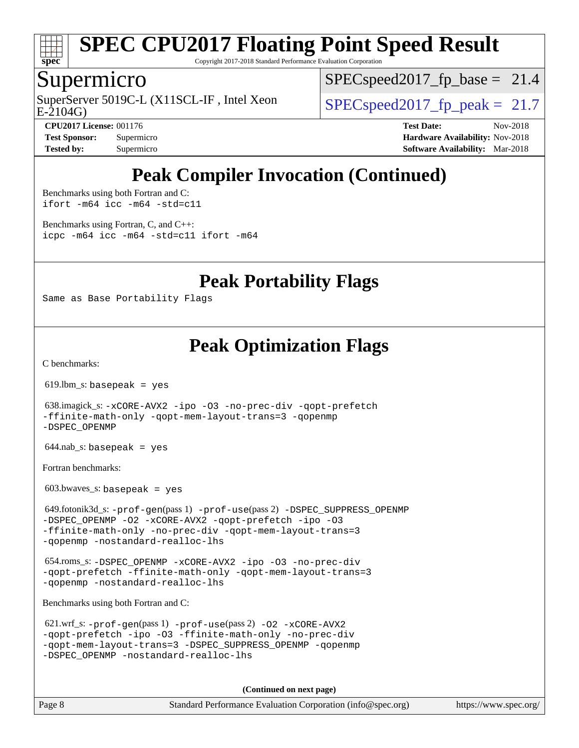

Copyright 2017-2018 Standard Performance Evaluation Corporation

### Supermicro

SuperServer 5019C-L (X11SCL-IF, Intel Xeon<br>E-2104G)

 $SPECspeed2017_fp\_base = 21.4$ 

 $SPECspeed2017_fp\_peak = 21.7$ 

**[CPU2017 License:](http://www.spec.org/auto/cpu2017/Docs/result-fields.html#CPU2017License)** 001176 **[Test Date:](http://www.spec.org/auto/cpu2017/Docs/result-fields.html#TestDate)** Nov-2018 **[Test Sponsor:](http://www.spec.org/auto/cpu2017/Docs/result-fields.html#TestSponsor)** Supermicro **[Hardware Availability:](http://www.spec.org/auto/cpu2017/Docs/result-fields.html#HardwareAvailability)** Nov-2018 **[Tested by:](http://www.spec.org/auto/cpu2017/Docs/result-fields.html#Testedby)** Supermicro **[Software Availability:](http://www.spec.org/auto/cpu2017/Docs/result-fields.html#SoftwareAvailability)** Mar-2018

# **[Peak Compiler Invocation \(Continued\)](http://www.spec.org/auto/cpu2017/Docs/result-fields.html#PeakCompilerInvocation)**

[Benchmarks using both Fortran and C](http://www.spec.org/auto/cpu2017/Docs/result-fields.html#BenchmarksusingbothFortranandC): [ifort -m64](http://www.spec.org/cpu2017/results/res2018q4/cpu2017-20181112-09571.flags.html#user_CC_FCpeak_intel_ifort_64bit_24f2bb282fbaeffd6157abe4f878425411749daecae9a33200eee2bee2fe76f3b89351d69a8130dd5949958ce389cf37ff59a95e7a40d588e8d3a57e0c3fd751) [icc -m64 -std=c11](http://www.spec.org/cpu2017/results/res2018q4/cpu2017-20181112-09571.flags.html#user_CC_FCpeak_intel_icc_64bit_c11_33ee0cdaae7deeeab2a9725423ba97205ce30f63b9926c2519791662299b76a0318f32ddfffdc46587804de3178b4f9328c46fa7c2b0cd779d7a61945c91cd35)

[Benchmarks using Fortran, C, and C++:](http://www.spec.org/auto/cpu2017/Docs/result-fields.html#BenchmarksusingFortranCandCXX) [icpc -m64](http://www.spec.org/cpu2017/results/res2018q4/cpu2017-20181112-09571.flags.html#user_CC_CXX_FCpeak_intel_icpc_64bit_4ecb2543ae3f1412ef961e0650ca070fec7b7afdcd6ed48761b84423119d1bf6bdf5cad15b44d48e7256388bc77273b966e5eb805aefd121eb22e9299b2ec9d9) [icc -m64 -std=c11](http://www.spec.org/cpu2017/results/res2018q4/cpu2017-20181112-09571.flags.html#user_CC_CXX_FCpeak_intel_icc_64bit_c11_33ee0cdaae7deeeab2a9725423ba97205ce30f63b9926c2519791662299b76a0318f32ddfffdc46587804de3178b4f9328c46fa7c2b0cd779d7a61945c91cd35) [ifort -m64](http://www.spec.org/cpu2017/results/res2018q4/cpu2017-20181112-09571.flags.html#user_CC_CXX_FCpeak_intel_ifort_64bit_24f2bb282fbaeffd6157abe4f878425411749daecae9a33200eee2bee2fe76f3b89351d69a8130dd5949958ce389cf37ff59a95e7a40d588e8d3a57e0c3fd751)

**[Peak Portability Flags](http://www.spec.org/auto/cpu2017/Docs/result-fields.html#PeakPortabilityFlags)**

Same as Base Portability Flags

## **[Peak Optimization Flags](http://www.spec.org/auto/cpu2017/Docs/result-fields.html#PeakOptimizationFlags)**

[C benchmarks](http://www.spec.org/auto/cpu2017/Docs/result-fields.html#Cbenchmarks):

619.lbm\_s: basepeak = yes

 638.imagick\_s: [-xCORE-AVX2](http://www.spec.org/cpu2017/results/res2018q4/cpu2017-20181112-09571.flags.html#user_peakCOPTIMIZE638_imagick_s_f-xCORE-AVX2) [-ipo](http://www.spec.org/cpu2017/results/res2018q4/cpu2017-20181112-09571.flags.html#user_peakCOPTIMIZE638_imagick_s_f-ipo) [-O3](http://www.spec.org/cpu2017/results/res2018q4/cpu2017-20181112-09571.flags.html#user_peakCOPTIMIZE638_imagick_s_f-O3) [-no-prec-div](http://www.spec.org/cpu2017/results/res2018q4/cpu2017-20181112-09571.flags.html#user_peakCOPTIMIZE638_imagick_s_f-no-prec-div) [-qopt-prefetch](http://www.spec.org/cpu2017/results/res2018q4/cpu2017-20181112-09571.flags.html#user_peakCOPTIMIZE638_imagick_s_f-qopt-prefetch) [-ffinite-math-only](http://www.spec.org/cpu2017/results/res2018q4/cpu2017-20181112-09571.flags.html#user_peakCOPTIMIZE638_imagick_s_f_finite_math_only_cb91587bd2077682c4b38af759c288ed7c732db004271a9512da14a4f8007909a5f1427ecbf1a0fb78ff2a814402c6114ac565ca162485bbcae155b5e4258871) [-qopt-mem-layout-trans=3](http://www.spec.org/cpu2017/results/res2018q4/cpu2017-20181112-09571.flags.html#user_peakCOPTIMIZE638_imagick_s_f-qopt-mem-layout-trans_de80db37974c74b1f0e20d883f0b675c88c3b01e9d123adea9b28688d64333345fb62bc4a798493513fdb68f60282f9a726aa07f478b2f7113531aecce732043) [-qopenmp](http://www.spec.org/cpu2017/results/res2018q4/cpu2017-20181112-09571.flags.html#user_peakCOPTIMIZE638_imagick_s_qopenmp_16be0c44f24f464004c6784a7acb94aca937f053568ce72f94b139a11c7c168634a55f6653758ddd83bcf7b8463e8028bb0b48b77bcddc6b78d5d95bb1df2967) [-DSPEC\\_OPENMP](http://www.spec.org/cpu2017/results/res2018q4/cpu2017-20181112-09571.flags.html#suite_peakCOPTIMIZE638_imagick_s_DSPEC_OPENMP)

644.nab\_s: basepeak = yes

[Fortran benchmarks](http://www.spec.org/auto/cpu2017/Docs/result-fields.html#Fortranbenchmarks):

 $603.bwaves$  s: basepeak = yes

 649.fotonik3d\_s: [-prof-gen](http://www.spec.org/cpu2017/results/res2018q4/cpu2017-20181112-09571.flags.html#user_peakPASS1_FFLAGSPASS1_LDFLAGS649_fotonik3d_s_prof_gen_5aa4926d6013ddb2a31985c654b3eb18169fc0c6952a63635c234f711e6e63dd76e94ad52365559451ec499a2cdb89e4dc58ba4c67ef54ca681ffbe1461d6b36)(pass 1) [-prof-use](http://www.spec.org/cpu2017/results/res2018q4/cpu2017-20181112-09571.flags.html#user_peakPASS2_FFLAGSPASS2_LDFLAGS649_fotonik3d_s_prof_use_1a21ceae95f36a2b53c25747139a6c16ca95bd9def2a207b4f0849963b97e94f5260e30a0c64f4bb623698870e679ca08317ef8150905d41bd88c6f78df73f19)(pass 2) [-DSPEC\\_SUPPRESS\\_OPENMP](http://www.spec.org/cpu2017/results/res2018q4/cpu2017-20181112-09571.flags.html#suite_peakPASS1_FOPTIMIZE649_fotonik3d_s_DSPEC_SUPPRESS_OPENMP) [-DSPEC\\_OPENMP](http://www.spec.org/cpu2017/results/res2018q4/cpu2017-20181112-09571.flags.html#suite_peakPASS2_FOPTIMIZE649_fotonik3d_s_DSPEC_OPENMP) [-O2](http://www.spec.org/cpu2017/results/res2018q4/cpu2017-20181112-09571.flags.html#user_peakPASS1_FOPTIMIZE649_fotonik3d_s_f-O2) [-xCORE-AVX2](http://www.spec.org/cpu2017/results/res2018q4/cpu2017-20181112-09571.flags.html#user_peakPASS2_FOPTIMIZE649_fotonik3d_s_f-xCORE-AVX2) [-qopt-prefetch](http://www.spec.org/cpu2017/results/res2018q4/cpu2017-20181112-09571.flags.html#user_peakPASS1_FOPTIMIZEPASS2_FOPTIMIZE649_fotonik3d_s_f-qopt-prefetch) [-ipo](http://www.spec.org/cpu2017/results/res2018q4/cpu2017-20181112-09571.flags.html#user_peakPASS2_FOPTIMIZE649_fotonik3d_s_f-ipo) [-O3](http://www.spec.org/cpu2017/results/res2018q4/cpu2017-20181112-09571.flags.html#user_peakPASS2_FOPTIMIZE649_fotonik3d_s_f-O3) [-ffinite-math-only](http://www.spec.org/cpu2017/results/res2018q4/cpu2017-20181112-09571.flags.html#user_peakPASS1_FOPTIMIZEPASS2_FOPTIMIZE649_fotonik3d_s_f_finite_math_only_cb91587bd2077682c4b38af759c288ed7c732db004271a9512da14a4f8007909a5f1427ecbf1a0fb78ff2a814402c6114ac565ca162485bbcae155b5e4258871) [-no-prec-div](http://www.spec.org/cpu2017/results/res2018q4/cpu2017-20181112-09571.flags.html#user_peakPASS2_FOPTIMIZE649_fotonik3d_s_f-no-prec-div) [-qopt-mem-layout-trans=3](http://www.spec.org/cpu2017/results/res2018q4/cpu2017-20181112-09571.flags.html#user_peakPASS1_FOPTIMIZEPASS2_FOPTIMIZE649_fotonik3d_s_f-qopt-mem-layout-trans_de80db37974c74b1f0e20d883f0b675c88c3b01e9d123adea9b28688d64333345fb62bc4a798493513fdb68f60282f9a726aa07f478b2f7113531aecce732043) [-qopenmp](http://www.spec.org/cpu2017/results/res2018q4/cpu2017-20181112-09571.flags.html#user_peakPASS2_FOPTIMIZE649_fotonik3d_s_qopenmp_16be0c44f24f464004c6784a7acb94aca937f053568ce72f94b139a11c7c168634a55f6653758ddd83bcf7b8463e8028bb0b48b77bcddc6b78d5d95bb1df2967) [-nostandard-realloc-lhs](http://www.spec.org/cpu2017/results/res2018q4/cpu2017-20181112-09571.flags.html#user_peakEXTRA_FOPTIMIZE649_fotonik3d_s_f_2003_std_realloc_82b4557e90729c0f113870c07e44d33d6f5a304b4f63d4c15d2d0f1fab99f5daaed73bdb9275d9ae411527f28b936061aa8b9c8f2d63842963b95c9dd6426b8a)

 654.roms\_s: [-DSPEC\\_OPENMP](http://www.spec.org/cpu2017/results/res2018q4/cpu2017-20181112-09571.flags.html#suite_peakFOPTIMIZE654_roms_s_DSPEC_OPENMP) [-xCORE-AVX2](http://www.spec.org/cpu2017/results/res2018q4/cpu2017-20181112-09571.flags.html#user_peakFOPTIMIZE654_roms_s_f-xCORE-AVX2) [-ipo](http://www.spec.org/cpu2017/results/res2018q4/cpu2017-20181112-09571.flags.html#user_peakFOPTIMIZE654_roms_s_f-ipo) [-O3](http://www.spec.org/cpu2017/results/res2018q4/cpu2017-20181112-09571.flags.html#user_peakFOPTIMIZE654_roms_s_f-O3) [-no-prec-div](http://www.spec.org/cpu2017/results/res2018q4/cpu2017-20181112-09571.flags.html#user_peakFOPTIMIZE654_roms_s_f-no-prec-div) [-qopt-prefetch](http://www.spec.org/cpu2017/results/res2018q4/cpu2017-20181112-09571.flags.html#user_peakFOPTIMIZE654_roms_s_f-qopt-prefetch) [-ffinite-math-only](http://www.spec.org/cpu2017/results/res2018q4/cpu2017-20181112-09571.flags.html#user_peakFOPTIMIZE654_roms_s_f_finite_math_only_cb91587bd2077682c4b38af759c288ed7c732db004271a9512da14a4f8007909a5f1427ecbf1a0fb78ff2a814402c6114ac565ca162485bbcae155b5e4258871) [-qopt-mem-layout-trans=3](http://www.spec.org/cpu2017/results/res2018q4/cpu2017-20181112-09571.flags.html#user_peakFOPTIMIZE654_roms_s_f-qopt-mem-layout-trans_de80db37974c74b1f0e20d883f0b675c88c3b01e9d123adea9b28688d64333345fb62bc4a798493513fdb68f60282f9a726aa07f478b2f7113531aecce732043) [-qopenmp](http://www.spec.org/cpu2017/results/res2018q4/cpu2017-20181112-09571.flags.html#user_peakFOPTIMIZE654_roms_s_qopenmp_16be0c44f24f464004c6784a7acb94aca937f053568ce72f94b139a11c7c168634a55f6653758ddd83bcf7b8463e8028bb0b48b77bcddc6b78d5d95bb1df2967) [-nostandard-realloc-lhs](http://www.spec.org/cpu2017/results/res2018q4/cpu2017-20181112-09571.flags.html#user_peakEXTRA_FOPTIMIZE654_roms_s_f_2003_std_realloc_82b4557e90729c0f113870c07e44d33d6f5a304b4f63d4c15d2d0f1fab99f5daaed73bdb9275d9ae411527f28b936061aa8b9c8f2d63842963b95c9dd6426b8a)

[Benchmarks using both Fortran and C](http://www.spec.org/auto/cpu2017/Docs/result-fields.html#BenchmarksusingbothFortranandC):

```
 621.wrf_s: -prof-gen(pass 1) -prof-use(pass 2) -O2 -xCORE-AVX2
-qopt-prefetch -ipo -O3 -ffinite-math-only -no-prec-div
-qopt-mem-layout-trans=3 -DSPEC_SUPPRESS_OPENMP -qopenmp
-DSPEC_OPENMP -nostandard-realloc-lhs
```
**(Continued on next page)**